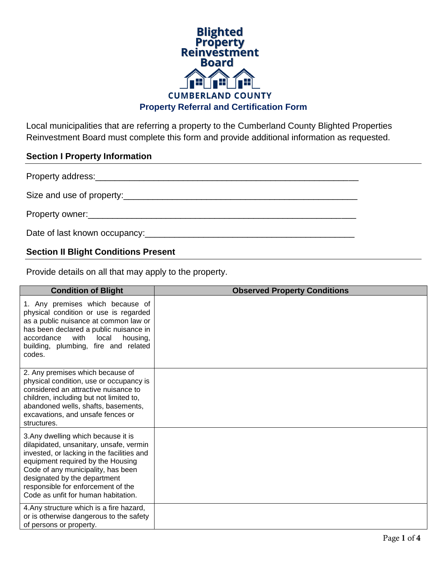

Local municipalities that are referring a property to the Cumberland County Blighted Properties Reinvestment Board must complete this form and provide additional information as requested.

## **Section I Property Information**

Property address:\_\_\_\_\_\_\_\_\_\_\_\_\_\_\_\_\_\_\_\_\_\_\_\_\_\_\_\_\_\_\_\_\_\_\_\_\_\_\_\_\_\_\_\_\_\_\_\_\_\_\_\_\_\_

Size and use of property:\_\_\_\_\_\_\_\_\_\_\_\_\_\_\_\_\_\_\_\_\_\_\_\_\_\_\_\_\_\_\_\_\_\_\_\_\_\_\_\_\_\_\_\_\_\_\_\_

Property owner:\_\_\_\_\_\_\_\_\_\_\_\_\_\_\_\_\_\_\_\_\_\_\_\_\_\_\_\_\_\_\_\_\_\_\_\_\_\_\_\_\_\_\_\_\_\_\_\_\_\_\_\_\_\_\_

Date of last known occupancy:\_\_\_\_\_\_\_\_\_\_\_\_\_\_\_\_\_\_\_\_\_\_\_\_\_\_\_\_\_\_\_\_\_\_\_\_\_\_\_\_\_\_\_

## **Section II Blight Conditions Present**

Provide details on all that may apply to the property.

| <b>Condition of Blight</b>                                                                                                                                                                                                                                                                                           | <b>Observed Property Conditions</b> |
|----------------------------------------------------------------------------------------------------------------------------------------------------------------------------------------------------------------------------------------------------------------------------------------------------------------------|-------------------------------------|
| 1. Any premises which because of<br>physical condition or use is regarded<br>as a public nuisance at common law or<br>has been declared a public nuisance in<br>accordance<br>with<br>local<br>housing,<br>building, plumbing, fire and related<br>codes.                                                            |                                     |
| 2. Any premises which because of<br>physical condition, use or occupancy is<br>considered an attractive nuisance to<br>children, including but not limited to,<br>abandoned wells, shafts, basements,<br>excavations, and unsafe fences or<br>structures.                                                            |                                     |
| 3. Any dwelling which because it is<br>dilapidated, unsanitary, unsafe, vermin<br>invested, or lacking in the facilities and<br>equipment required by the Housing<br>Code of any municipality, has been<br>designated by the department<br>responsible for enforcement of the<br>Code as unfit for human habitation. |                                     |
| 4. Any structure which is a fire hazard,<br>or is otherwise dangerous to the safety<br>of persons or property.                                                                                                                                                                                                       |                                     |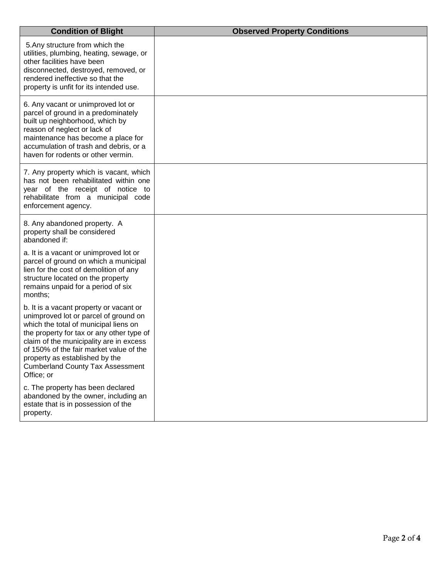| <b>Condition of Blight</b>                                                                                                                                                                                                                                                                                                                              | <b>Observed Property Conditions</b> |
|---------------------------------------------------------------------------------------------------------------------------------------------------------------------------------------------------------------------------------------------------------------------------------------------------------------------------------------------------------|-------------------------------------|
| 5. Any structure from which the<br>utilities, plumbing, heating, sewage, or<br>other facilities have been<br>disconnected, destroyed, removed, or<br>rendered ineffective so that the<br>property is unfit for its intended use.                                                                                                                        |                                     |
| 6. Any vacant or unimproved lot or<br>parcel of ground in a predominately<br>built up neighborhood, which by<br>reason of neglect or lack of<br>maintenance has become a place for<br>accumulation of trash and debris, or a<br>haven for rodents or other vermin.                                                                                      |                                     |
| 7. Any property which is vacant, which<br>has not been rehabilitated within one<br>year of the receipt of notice to<br>rehabilitate from a municipal code<br>enforcement agency.                                                                                                                                                                        |                                     |
| 8. Any abandoned property. A<br>property shall be considered<br>abandoned if:                                                                                                                                                                                                                                                                           |                                     |
| a. It is a vacant or unimproved lot or<br>parcel of ground on which a municipal<br>lien for the cost of demolition of any<br>structure located on the property<br>remains unpaid for a period of six<br>months;                                                                                                                                         |                                     |
| b. It is a vacant property or vacant or<br>unimproved lot or parcel of ground on<br>which the total of municipal liens on<br>the property for tax or any other type of<br>claim of the municipality are in excess<br>of 150% of the fair market value of the<br>property as established by the<br><b>Cumberland County Tax Assessment</b><br>Office; or |                                     |
| c. The property has been declared<br>abandoned by the owner, including an<br>estate that is in possession of the<br>property.                                                                                                                                                                                                                           |                                     |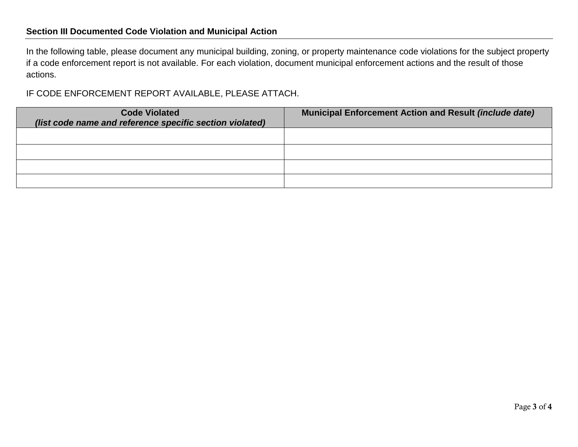## **Section III Documented Code Violation and Municipal Action**

In the following table, please document any municipal building, zoning, or property maintenance code violations for the subject property if a code enforcement report is not available. For each violation, document municipal enforcement actions and the result of those actions.

IF CODE ENFORCEMENT REPORT AVAILABLE, PLEASE ATTACH.

| <b>Code Violated</b><br>(list code name and reference specific section violated) | <b>Municipal Enforcement Action and Result (include date)</b> |
|----------------------------------------------------------------------------------|---------------------------------------------------------------|
|                                                                                  |                                                               |
|                                                                                  |                                                               |
|                                                                                  |                                                               |
|                                                                                  |                                                               |